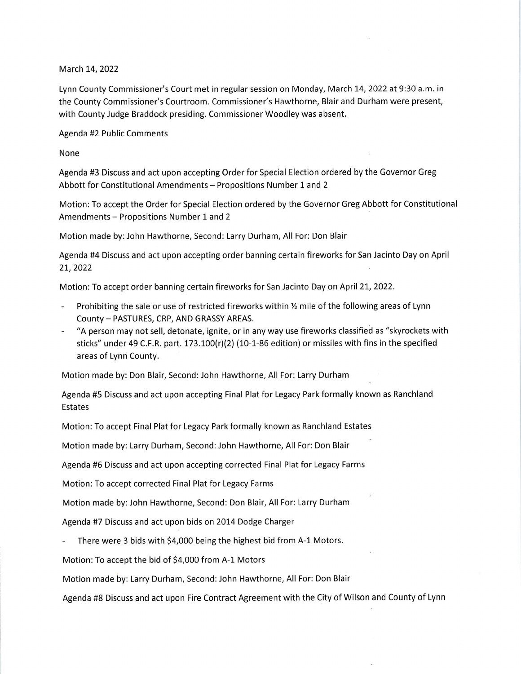March 14, 2022

Lynn County Commissioner's Court met in regular session on Monday, March L4,2022 at 9:30 a.m. in the County Commissioner's Courtroom. Commissioner's Hawthorne, Blair and Durham were present, with County Judge Braddock presiding. Commissioner Woodley was absent.

Agenda #2 Public Comments

None

Agenda #3 Discuss and act upon accepting Order for Special Election ordered by the Governor Greg Abbott for Constitutional Amendments - Propositions Number 1 and 2

Motion: To accept the Order for Special Election ordered by the Governor Greg Abbott for Constitutional Amendments - Propositions Number 1 and <sup>2</sup>

Motion made by:John Hawthorne, Second: Larry Durham, All For: Don Blair

Agenda #4 Discuss and act upon accepting order banning certain fireworks for San Jacinto Day on April 21, 2022

Motion: To accept order banning certain fireworks for San Jacinto Day on April 21, 2022.

- Prohibiting the sale or use of restricted fireworks within % mile of the following areas of Lynn County - PASTURES, CRP, AND GRASSY AREAS.
- "A person may not sell, detonate, ignite, or in any way use fireworks classified as "skyrockets with sticks" under 49 C.F.R. part.  $173.100(r)(2)$  (10-1-86 edition) or missiles with fins in the specified areas of Lynn County.

Motion made by: Don Blair, Second: John Hawthorne, All For: Larry Durham

Agenda #5 Discuss and act upon accepting Final Plat for Legacy Park formally known as Ranchland Estates

Motion: To accept Final Plat for Legacy Park formally known as Ranchland Estates

Motion made by: Larry Durham, Second: John Hawthorne, All For: Don Blair

Agenda #6 Discuss and act upon accepting corrected Final Plat for Legacy Farms

Motion: To accept corrected Final Plat for Legacy Farms

Motion made by:John Hawthorne, Second: Don Blair, All For: Larry Durham

Agenda #7 Discuss and act upon bids on 2014 Dodge Charger

There were 3 bids with \$4,000 being the highest bid from A-1 Motors.

Motion: To accept the bid of 54,000 from A-1 Motors

Motion made by: Larry Durham, Second:John Hawthorne, All For: Don Blair

Agenda #8 Discuss and act upon Fire Contract Agreement with the City of Wilson and County of Lynn